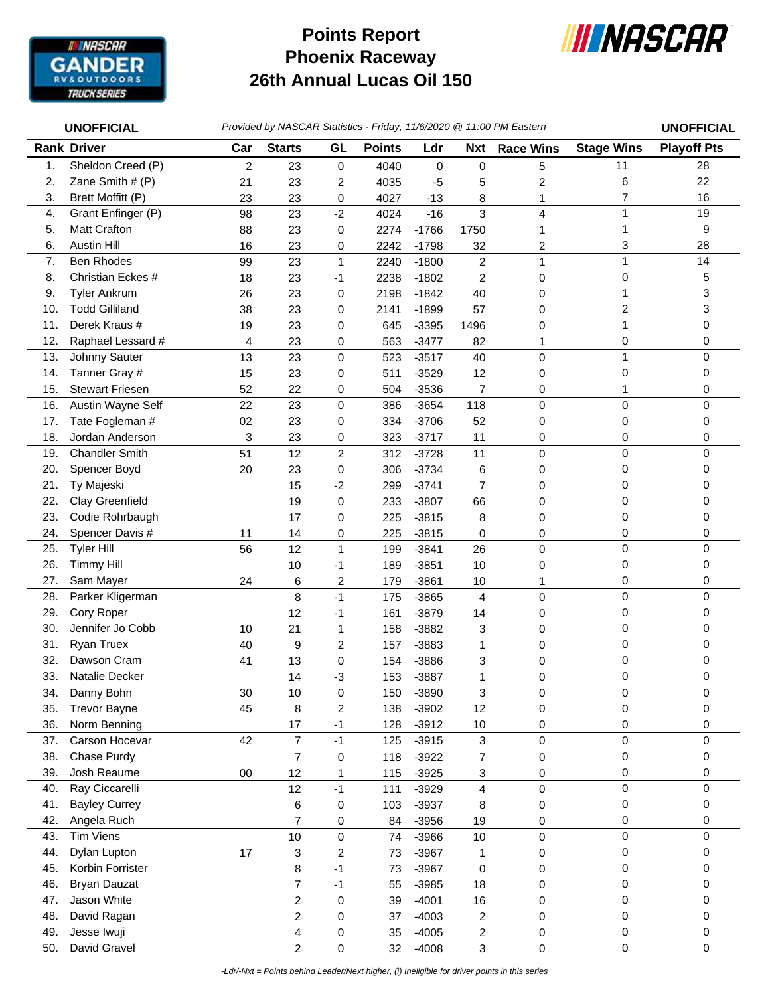

## **Phoenix Raceway 26th Annual Lucas Oil 150 Points Report**



|            | <b>UNOFFICIAL</b>             |                |                |                                 |               |                    |                      | Provided by NASCAR Statistics - Friday, 11/6/2020 @ 11:00 PM Eastern |                   | <b>UNOFFICIAL</b>  |
|------------|-------------------------------|----------------|----------------|---------------------------------|---------------|--------------------|----------------------|----------------------------------------------------------------------|-------------------|--------------------|
|            | <b>Rank Driver</b>            | Car            | <b>Starts</b>  | GL                              | <b>Points</b> | Ldr                | <b>Nxt</b>           | <b>Race Wins</b>                                                     | <b>Stage Wins</b> | <b>Playoff Pts</b> |
| 1.         | Sheldon Creed (P)             | $\overline{c}$ | 23             | $\pmb{0}$                       | 4040          | 0                  | $\pmb{0}$            | 5                                                                    | 11                | 28                 |
| 2.         | Zane Smith # (P)              | 21             | 23             | 2                               | 4035          | $-5$               | 5                    | 2                                                                    | 6                 | 22                 |
| 3.         | Brett Moffitt (P)             | 23             | 23             | 0                               | 4027          | $-13$              | 8                    | 1                                                                    | $\overline{7}$    | 16                 |
| 4.         | Grant Enfinger (P)            | 98             | 23             | $-2$                            | 4024          | $-16$              | 3                    | 4                                                                    | 1                 | 19                 |
| 5.         | <b>Matt Crafton</b>           | 88             | 23             | 0                               | 2274          | $-1766$            | 1750                 |                                                                      | 1                 | 9                  |
| 6.         | <b>Austin Hill</b>            | 16             | 23             | 0                               | 2242          | $-1798$            | 32                   | 2                                                                    | 3                 | 28                 |
| 7.         | <b>Ben Rhodes</b>             | 99             | 23             | $\mathbf{1}$                    | 2240          | $-1800$            | $\overline{c}$       | 1                                                                    | $\mathbf{1}$      | 14                 |
| 8.         | Christian Eckes #             | 18             | 23             | $-1$                            | 2238          | $-1802$            | $\overline{2}$       | 0                                                                    | 0                 | 5                  |
| 9.         | <b>Tyler Ankrum</b>           | 26             | 23             | 0                               | 2198          | $-1842$            | 40                   | 0                                                                    | 1                 | 3                  |
| 10.        | <b>Todd Gilliland</b>         | 38             | 23             | $\mathbf 0$                     | 2141          | $-1899$            | 57                   | 0                                                                    | 2                 | 3                  |
| 11.        | Derek Kraus #                 | 19             | 23             | 0                               | 645           | $-3395$            | 1496                 | 0                                                                    | 1                 | 0                  |
| 12.        | Raphael Lessard #             | 4              | 23             | 0                               | 563           | $-3477$            | 82                   | 1                                                                    | 0                 | 0                  |
| 13.        | Johnny Sauter                 | 13             | 23             | $\mathbf 0$                     | 523           | $-3517$            | 40                   | 0                                                                    | 1                 | 0                  |
| 14.        | Tanner Gray #                 | 15             | 23             | 0                               | 511           | $-3529$            | 12                   | 0                                                                    | 0                 | 0                  |
| 15.        | <b>Stewart Friesen</b>        | 52             | 22             | 0                               | 504           | $-3536$            | 7                    | 0                                                                    | 1                 | 0                  |
| 16.        | Austin Wayne Self             | 22             | 23             | 0                               | 386           | $-3654$            | 118                  | $\mathsf 0$                                                          | $\pmb{0}$         | 0                  |
| 17.        | Tate Fogleman #               | 02             | 23             | 0                               | 334           | $-3706$            | 52                   | 0                                                                    | 0                 | 0                  |
| 18.        | Jordan Anderson               | 3              | 23             | 0                               | 323           | $-3717$            | 11                   | 0                                                                    | 0                 | 0                  |
| 19.        | <b>Chandler Smith</b>         | 51             | 12             | $\overline{2}$                  | 312           | $-3728$            | 11                   | $\mathsf 0$                                                          | $\mathbf 0$       | 0                  |
| 20.        | Spencer Boyd                  | 20             | 23             | 0                               | 306           | $-3734$            | 6                    | 0                                                                    | 0                 | 0                  |
| 21.        | Ty Majeski                    |                | 15             | $-2$                            | 299           | $-3741$            | $\overline{7}$       | 0                                                                    | 0                 | 0                  |
| 22.        | Clay Greenfield               |                | 19             | $\mathbf 0$                     | 233           | $-3807$            | 66                   | 0                                                                    | $\mathbf 0$       | 0                  |
| 23.        | Codie Rohrbaugh               |                | 17             | 0                               | 225           | $-3815$            | 8                    | 0                                                                    | 0                 | 0                  |
| 24.        | Spencer Davis #               | 11             | 14             | 0                               | 225           | $-3815$            | 0                    | 0                                                                    | 0                 | 0                  |
| 25.        | <b>Tyler Hill</b>             | 56             | 12             | $\mathbf{1}$                    | 199           | $-3841$            | 26                   | 0                                                                    | 0                 | 0                  |
| 26.        | <b>Timmy Hill</b>             |                | 10             | -1                              | 189           | $-3851$            | 10                   | 0                                                                    | 0                 | 0                  |
| 27.<br>28. | Sam Mayer<br>Parker Kligerman | 24             | 6<br>8         | $\overline{\mathbf{c}}$<br>$-1$ | 179<br>175    | $-3861$<br>$-3865$ | 10<br>$\overline{4}$ | 1                                                                    | 0<br>$\mathbf 0$  | 0<br>0             |
| 29.        | Cory Roper                    |                | 12             | -1                              | 161           | $-3879$            | 14                   | 0<br>0                                                               | 0                 | 0                  |
| 30.        | Jennifer Jo Cobb              | 10             | 21             | 1                               | 158           | $-3882$            | 3                    | 0                                                                    | 0                 | 0                  |
| 31.        | Ryan Truex                    | 40             | 9              | $\overline{c}$                  | 157           | $-3883$            | 1                    | 0                                                                    | $\mathbf 0$       | 0                  |
| 32.        | Dawson Cram                   | 41             | 13             | 0                               | 154           | $-3886$            | 3                    | 0                                                                    | 0                 | 0                  |
| 33.        | Natalie Decker                |                | 14             | -3                              | 153           | $-3887$            | 1                    | 0                                                                    | 0                 | 0                  |
| 34.        | Danny Bohn                    | 30             | 10             | 0                               | 150           | $-3890$            | 3                    | 0                                                                    | 0                 | 0                  |
| 35.        | <b>Trevor Bayne</b>           | 45             | 8              | $\overline{c}$                  | 138           | $-3902$            | 12                   | 0                                                                    | 0                 | 0                  |
| 36.        | Norm Benning                  |                | 17             | $-1$                            | 128           | $-3912$            | 10                   | 0                                                                    | 0                 | 0                  |
| 37.        | Carson Hocevar                | 42             | $\overline{7}$ | $-1$                            | 125           | $-3915$            | 3                    | 0                                                                    | $\mathbf 0$       | $\Omega$           |
| 38.        | Chase Purdy                   |                | $\overline{7}$ | $\pmb{0}$                       | 118           | $-3922$            | $\overline{7}$       | 0                                                                    | 0                 | 0                  |
| 39.        | Josh Reaume                   | $00\,$         | 12             | 1                               | 115           | $-3925$            | 3                    | 0                                                                    | 0                 | 0                  |
| 40.        | Ray Ciccarelli                |                | 12             | $-1$                            | 111           | $-3929$            | 4                    | 0                                                                    | 0                 | 0                  |
| 41.        | <b>Bayley Currey</b>          |                | 6              | $\pmb{0}$                       | 103           | $-3937$            | 8                    | 0                                                                    | 0                 | 0                  |
| 42.        | Angela Ruch                   |                | 7              | 0                               | 84            | $-3956$            | 19                   | 0                                                                    | 0                 | 0                  |
| 43.        | <b>Tim Viens</b>              |                | 10             | 0                               | 74            | $-3966$            | 10                   | $\mathbf 0$                                                          | $\pmb{0}$         | $\Omega$           |
| 44.        | Dylan Lupton                  | 17             | 3              | $\overline{c}$                  | 73            | $-3967$            | 1                    | 0                                                                    | 0                 | 0                  |
| 45.        | Korbin Forrister              |                | 8              | $-1$                            | 73            | $-3967$            | 0                    | 0                                                                    | 0                 | 0                  |
| 46.        | <b>Bryan Dauzat</b>           |                | $\overline{7}$ | $-1$                            | 55            | $-3985$            | 18                   | $\mathsf 0$                                                          | $\mathbf 0$       | 0                  |
| 47.        | Jason White                   |                | $\overline{c}$ | 0                               | 39            | $-4001$            | 16                   | 0                                                                    | $\boldsymbol{0}$  | 0                  |
| 48.        | David Ragan                   |                | 2              | 0                               | 37            | $-4003$            | 2                    | 0                                                                    | 0                 | 0                  |
| 49.        | Jesse Iwuji                   |                | 4              | 0                               | 35            | $-4005$            | $\overline{c}$       | $\mathsf 0$                                                          | $\pmb{0}$         | 0                  |
| 50.        | David Gravel                  |                | 2              | 0                               | 32            | $-4008$            | 3                    | 0                                                                    | $\pmb{0}$         | $\mathbf 0$        |